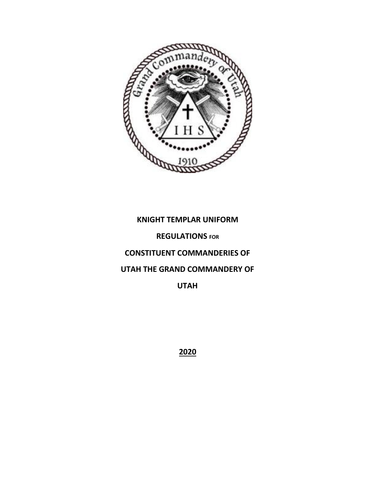

# **KNIGHT TEMPLAR UNIFORM**

# **REGULATIONS FOR**

# **CONSTITUENT COMMANDERIES OF**

# **UTAH THE GRAND COMMANDERY OF**

**UTAH** 

**2020**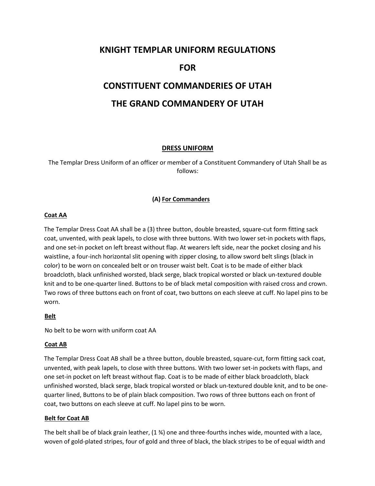# **KNIGHT TEMPLAR UNIFORM REGULATIONS**

# **FOR**

# **CONSTITUENT COMMANDERIES OF UTAH THE GRAND COMMANDERY OF UTAH**

# **DRESS UNIFORM**

The Templar Dress Uniform of an officer or member of a Constituent Commandery of Utah Shall be as follows:

# **(A) For Commanders**

#### **Coat AA**

The Templar Dress Coat AA shall be a (3) three button, double breasted, square-cut form fitting sack coat, unvented, with peak lapels, to close with three buttons. With two lower set-in pockets with flaps, and one set-in pocket on left breast without flap. At wearers left side, near the pocket closing and his waistline, a four-inch horizontal slit opening with zipper closing, to allow sword belt slings (black in color) to be worn on concealed belt or on trouser waist belt. Coat is to be made of either black broadcloth, black unfinished worsted, black serge, black tropical worsted or black un-textured double knit and to be one-quarter lined. Buttons to be of black metal composition with raised cross and crown. Two rows of three buttons each on front of coat, two buttons on each sleeve at cuff. No lapel pins to be worn.

#### **Belt**

No belt to be worn with uniform coat AA

#### **Coat AB**

The Templar Dress Coat AB shall be a three button, double breasted, square-cut, form fitting sack coat, unvented, with peak lapels, to close with three buttons. With two lower set-in pockets with flaps, and one set-in pocket on left breast without flap. Coat is to be made of either black broadcloth, black unfinished worsted, black serge, black tropical worsted or black un-textured double knit, and to be onequarter lined, Buttons to be of plain black composition. Two rows of three buttons each on front of coat, two buttons on each sleeve at cuff. No lapel pins to be worn.

#### **Belt for Coat AB**

The belt shall be of black grain leather,  $(1 \frac{3}{4})$  one and three-fourths inches wide, mounted with a lace, woven of gold-plated stripes, four of gold and three of black, the black stripes to be of equal width and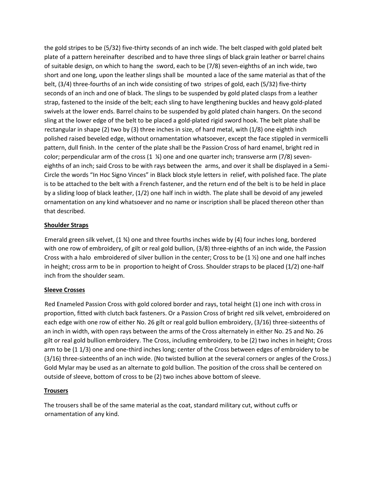the gold stripes to be (5/32) five-thirty seconds of an inch wide. The belt clasped with gold plated belt plate of a pattern hereinafter described and to have three slings of black grain leather or barrel chains of suitable design, on which to hang the sword, each to be (7/8) seven-eighths of an inch wide, two short and one long, upon the leather slings shall be mounted a lace of the same material as that of the belt, (3/4) three-fourths of an inch wide consisting of two stripes of gold, each (5/32) five-thirty seconds of an inch and one of black. The slings to be suspended by gold plated clasps from a leather strap, fastened to the inside of the belt; each sling to have lengthening buckles and heavy gold-plated swivels at the lower ends. Barrel chains to be suspended by gold plated chain hangers. On the second sling at the lower edge of the belt to be placed a gold-plated rigid sword hook. The belt plate shall be rectangular in shape (2) two by (3) three inches in size, of hard metal, with (1/8) one eighth inch polished raised beveled edge, without ornamentation whatsoever, except the face stippled in vermicelli pattern, dull finish. In the center of the plate shall be the Passion Cross of hard enamel, bright red in color; perpendicular arm of the cross  $(1 \frac{1}{2})$  one and one quarter inch; transverse arm (7/8) seveneighths of an inch; said Cross to be with rays between the arms, and over it shall be displayed in a Semi-Circle the words "In Hoc Signo Vinces" in Black block style letters in relief, with polished face. The plate is to be attached to the belt with a French fastener, and the return end of the belt is to be held in place by a sliding loop of black leather, (1/2) one half inch in width. The plate shall be devoid of any jeweled ornamentation on any kind whatsoever and no name or inscription shall be placed thereon other than that described.

# **Shoulder Straps**

Emerald green silk velvet, (1 ¾) one and three fourths inches wide by (4) four inches long, bordered with one row of embroidery, of gilt or real gold bullion, (3/8) three-eighths of an inch wide, the Passion Cross with a halo embroidered of silver bullion in the center; Cross to be  $(1 \frac{1}{2})$  one and one half inches in height; cross arm to be in proportion to height of Cross. Shoulder straps to be placed (1/2) one-half inch from the shoulder seam.

# **Sleeve Crosses**

Red Enameled Passion Cross with gold colored border and rays, total height (1) one inch with cross in proportion, fitted with clutch back fasteners. Or a Passion Cross of bright red silk velvet, embroidered on each edge with one row of either No. 26 gilt or real gold bullion embroidery, (3/16) three-sixteenths of an inch in width, with open rays between the arms of the Cross alternately in either No. 25 and No. 26 gilt or real gold bullion embroidery. The Cross, including embroidery, to be (2) two inches in height; Cross arm to be (1 1/3) one and one-third inches long; center of the Cross between edges of embroidery to be (3/16) three-sixteenths of an inch wide. (No twisted bullion at the several corners or angles of the Cross.) Gold Mylar may be used as an alternate to gold bullion. The position of the cross shall be centered on outside of sleeve, bottom of cross to be (2) two inches above bottom of sleeve.

#### **Trousers**

The trousers shall be of the same material as the coat, standard military cut, without cuffs or ornamentation of any kind.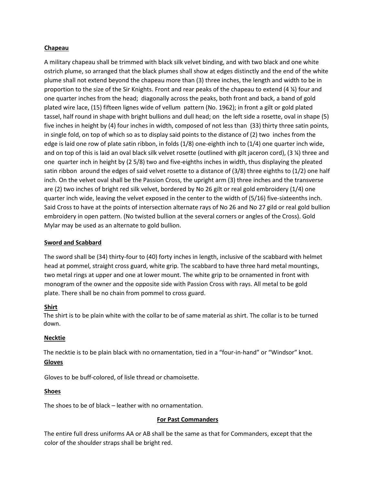#### **Chapeau**

A military chapeau shall be trimmed with black silk velvet binding, and with two black and one white ostrich plume, so arranged that the black plumes shall show at edges distinctly and the end of the white plume shall not extend beyond the chapeau more than (3) three inches, the length and width to be in proportion to the size of the Sir Knights. Front and rear peaks of the chapeau to extend (4 ¼) four and one quarter inches from the head; diagonally across the peaks, both front and back, a band of gold plated wire lace, (15) fifteen lignes wide of vellum pattern (No. 1962); in front a gilt or gold plated tassel, half round in shape with bright bullions and dull head; on the left side a rosette, oval in shape (5) five inches in height by (4) four inches in width, composed of not less than (33) thirty three satin points, in single fold, on top of which so as to display said points to the distance of (2) two inches from the edge is laid one row of plate satin ribbon, in folds (1/8) one-eighth inch to (1/4) one quarter inch wide, and on top of this is laid an oval black silk velvet rosette (outlined with gilt jaceron cord), (3 ¼) three and one quarter inch in height by (2 5/8) two and five-eighths inches in width, thus displaying the pleated satin ribbon around the edges of said velvet rosette to a distance of (3/8) three eighths to (1/2) one half inch. On the velvet oval shall be the Passion Cross, the upright arm (3) three inches and the transverse are (2) two inches of bright red silk velvet, bordered by No 26 gilt or real gold embroidery (1/4) one quarter inch wide, leaving the velvet exposed in the center to the width of (5/16) five-sixteenths inch. Said Cross to have at the points of intersection alternate rays of No 26 and No 27 gild or real gold bullion embroidery in open pattern. (No twisted bullion at the several corners or angles of the Cross). Gold Mylar may be used as an alternate to gold bullion.

# **Sword and Scabbard**

The sword shall be (34) thirty-four to (40) forty inches in length, inclusive of the scabbard with helmet head at pommel, straight cross guard, white grip. The scabbard to have three hard metal mountings, two metal rings at upper and one at lower mount. The white grip to be ornamented in front with monogram of the owner and the opposite side with Passion Cross with rays. All metal to be gold plate. There shall be no chain from pommel to cross guard.

#### **Shirt**

The shirt is to be plain white with the collar to be of same material as shirt. The collar is to be turned down.

# **Necktie**

The necktie is to be plain black with no ornamentation, tied in a "four-in-hand" or "Windsor" knot. **Gloves**

Gloves to be buff-colored, of lisle thread or chamoisette.

# **Shoes**

The shoes to be of black – leather with no ornamentation.

#### **For Past Commanders**

The entire full dress uniforms AA or AB shall be the same as that for Commanders, except that the color of the shoulder straps shall be bright red.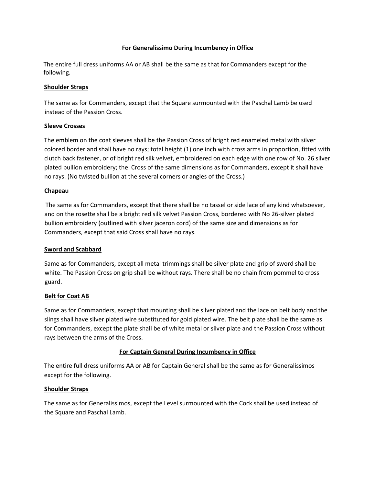### **For Generalissimo During Incumbency in Office**

The entire full dress uniforms AA or AB shall be the same as that for Commanders except for the following.

# **Shoulder Straps**

The same as for Commanders, except that the Square surmounted with the Paschal Lamb be used instead of the Passion Cross.

# **Sleeve Crosses**

The emblem on the coat sleeves shall be the Passion Cross of bright red enameled metal with silver colored border and shall have no rays; total height (1) one inch with cross arms in proportion, fitted with clutch back fastener, or of bright red silk velvet, embroidered on each edge with one row of No. 26 silver plated bullion embroidery; the Cross of the same dimensions as for Commanders, except it shall have no rays. (No twisted bullion at the several corners or angles of the Cross.)

# **Chapeau**

The same as for Commanders, except that there shall be no tassel or side lace of any kind whatsoever, and on the rosette shall be a bright red silk velvet Passion Cross, bordered with No 26-silver plated bullion embroidery (outlined with silver jaceron cord) of the same size and dimensions as for Commanders, except that said Cross shall have no rays.

#### **Sword and Scabbard**

Same as for Commanders, except all metal trimmings shall be silver plate and grip of sword shall be white. The Passion Cross on grip shall be without rays. There shall be no chain from pommel to cross guard.

#### **Belt for Coat AB**

Same as for Commanders, except that mounting shall be silver plated and the lace on belt body and the slings shall have silver plated wire substituted for gold plated wire. The belt plate shall be the same as for Commanders, except the plate shall be of white metal or silver plate and the Passion Cross without rays between the arms of the Cross.

# **For Captain General During Incumbency in Office**

The entire full dress uniforms AA or AB for Captain General shall be the same as for Generalissimos except for the following.

#### **Shoulder Straps**

The same as for Generalissimos, except the Level surmounted with the Cock shall be used instead of the Square and Paschal Lamb.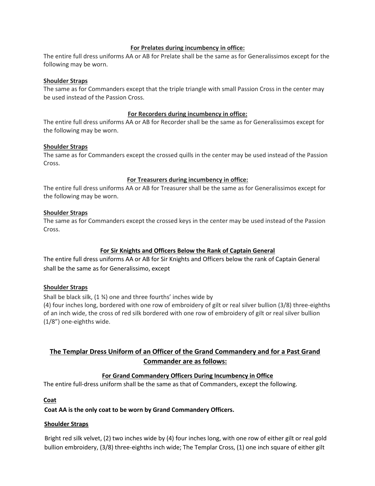#### **For Prelates during incumbency in office:**

The entire full dress uniforms AA or AB for Prelate shall be the same as for Generalissimos except for the following may be worn.

#### **Shoulder Straps**

The same as for Commanders except that the triple triangle with small Passion Cross in the center may be used instead of the Passion Cross.

#### **For Recorders during incumbency in office:**

The entire full dress uniforms AA or AB for Recorder shall be the same as for Generalissimos except for the following may be worn.

#### **Shoulder Straps**

The same as for Commanders except the crossed quills in the center may be used instead of the Passion Cross.

#### **For Treasurers during incumbency in office:**

The entire full dress uniforms AA or AB for Treasurer shall be the same as for Generalissimos except for the following may be worn.

#### **Shoulder Straps**

The same as for Commanders except the crossed keys in the center may be used instead of the Passion Cross.

#### **For Sir Knights and Officers Below the Rank of Captain General**

The entire full dress uniforms AA or AB for Sir Knights and Officers below the rank of Captain General shall be the same as for Generalissimo, except

#### **Shoulder Straps**

Shall be black silk, (1 ¾) one and three fourths' inches wide by

(4) four inches long, bordered with one row of embroidery of gilt or real silver bullion (3/8) three-eighths of an inch wide, the cross of red silk bordered with one row of embroidery of gilt or real silver bullion (1/8") one-eighths wide.

# **The Templar Dress Uniform of an Officer of the Grand Commandery and for a Past Grand Commander are as follows:**

#### **For Grand Commandery Officers During Incumbency in Office**

The entire full-dress uniform shall be the same as that of Commanders, except the following.

#### **Coat**

#### **Coat AA is the only coat to be worn by Grand Commandery Officers.**

#### **Shoulder Straps**

Bright red silk velvet, (2) two inches wide by (4) four inches long, with one row of either gilt or real gold bullion embroidery, (3/8) three-eighths inch wide; The Templar Cross, (1) one inch square of either gilt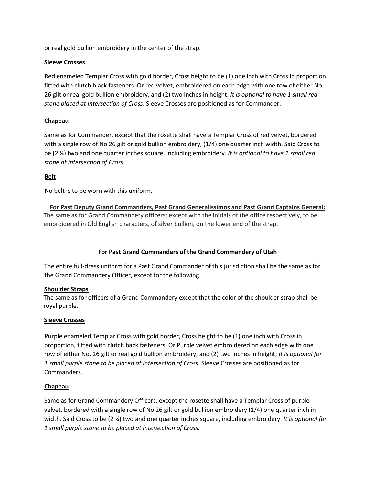or real gold bullion embroidery in the center of the strap.

# **Sleeve Crosses**

Red enameled Templar Cross with gold border, Cross height to be (1) one inch with Cross in proportion; fitted with clutch black fasteners. Or red velvet, embroidered on each edge with one row of either No. 26 gilt or real gold bullion embroidery, and (2) two inches in height. *It is optional to have 1 small red stone placed at intersection of Cross*. Sleeve Crosses are positioned as for Commander.

# **Chapeau**

Same as for Commander, except that the rosette shall have a Templar Cross of red velvet, bordered with a single row of No 26 gilt or gold bullion embroidery, (1/4) one quarter inch width. Said Cross to be (2 ¼) two and one quarter inches square, including embroidery. *It is optional to have 1 small red stone at intersection of Cross* 

# **Belt**

No belt is to be worn with this uniform.

**For Past Deputy Grand Commanders, Past Grand Generalissimos and Past Grand Captains General:** The same as for Grand Commandery officers; except with the initials of the office respectively, to be embroidered in Old English characters, of silver bullion, on the lower end of the strap.

# **For Past Grand Commanders of the Grand Commandery of Utah**

The entire full-dress uniform for a Past Grand Commander of this jurisdiction shall be the same as for the Grand Commandery Officer, except for the following.

#### **Shoulder Straps**

The same as for officers of a Grand Commandery except that the color of the shoulder strap shall be royal purple.

#### **Sleeve Crosses**

Purple enameled Templar Cross with gold border, Cross height to be (1) one inch with Cross in proportion, fitted with clutch back fasteners. Or Purple velvet embroidered on each edge with one row of either No. 26 gilt or real gold bullion embroidery, and (2) two inches in height; *It is optional for 1 small purple stone to be placed at intersection of Cross.* Sleeve Crosses are positioned as for Commanders.

#### **Chapeau**

Same as for Grand Commandery Officers, except the rosette shall have a Templar Cross of purple velvet, bordered with a single row of No 26 gilt or gold bullion embroidery (1/4) one quarter inch in width. Said Cross to be (2 ¼) two and one quarter inches square, including embroidery. *It is optional for 1 small purple stone to be placed at intersection of Cross.*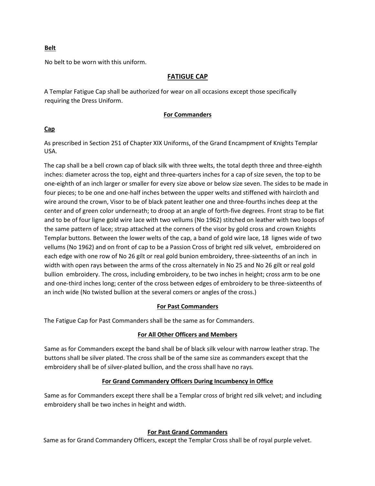#### **Belt**

No belt to be worn with this uniform.

### **FATIGUE CAP**

A Templar Fatigue Cap shall be authorized for wear on all occasions except those specifically requiring the Dress Uniform.

#### **For Commanders**

#### **Cap**

As prescribed in Section 251 of Chapter XIX Uniforms, of the Grand Encampment of Knights Templar USA.

The cap shall be a bell crown cap of black silk with three welts, the total depth three and three-eighth inches: diameter across the top, eight and three-quarters inches for a cap of size seven, the top to be one-eighth of an inch larger or smaller for every size above or below size seven. The sides to be made in four pieces; to be one and one-half inches between the upper welts and stiffened with haircloth and wire around the crown, Visor to be of black patent leather one and three-fourths inches deep at the center and of green color underneath; to droop at an angle of forth-five degrees. Front strap to be flat and to be of four ligne gold wire lace with two vellums (No 1962) stitched on leather with two loops of the same pattern of lace; strap attached at the corners of the visor by gold cross and crown Knights Templar buttons. Between the lower welts of the cap, a band of gold wire lace, 18 lignes wide of two vellums (No 1962) and on front of cap to be a Passion Cross of bright red silk velvet, embroidered on each edge with one row of No 26 gilt or real gold bunion embroidery, three-sixteenths of an inch in width with open rays between the arms of the cross alternately in No 25 and No 26 gilt or real gold bullion embroidery. The cross, including embroidery, to be two inches in height; cross arm to be one and one-third inches long; center of the cross between edges of embroidery to be three-sixteenths of an inch wide (No twisted bullion at the several comers or angles of the cross.)

#### **For Past Commanders**

The Fatigue Cap for Past Commanders shall be the same as for Commanders.

#### **For All Other Officers and Members**

Same as for Commanders except the band shall be of black silk velour with narrow leather strap. The buttons shall be silver plated. The cross shall be of the same size as commanders except that the embroidery shall be of silver-plated bullion, and the cross shall have no rays.

# **For Grand Commandery Officers During Incumbency in Office**

Same as for Commanders except there shall be a Templar cross of bright red silk velvet; and including embroidery shall be two inches in height and width.

# **For Past Grand Commanders**

Same as for Grand Commandery Officers, except the Templar Cross shall be of royal purple velvet.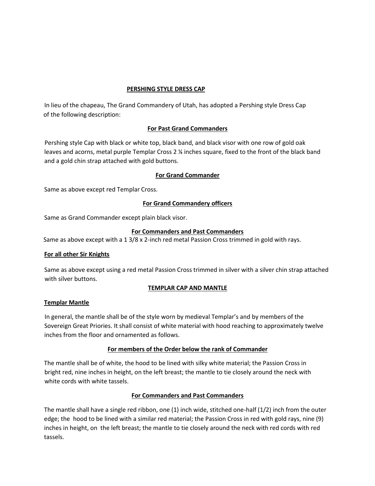#### **PERSHING STYLE DRESS CAP**

In lieu of the chapeau, The Grand Commandery of Utah, has adopted a Pershing style Dress Cap of the following description:

# **For Past Grand Commanders**

Pershing style Cap with black or white top, black band, and black visor with one row of gold oak leaves and acorns, metal purple Templar Cross 2 ¼ inches square, fixed to the front of the black band and a gold chin strap attached with gold buttons.

# **For Grand Commander**

Same as above except red Templar Cross.

# **For Grand Commandery officers**

Same as Grand Commander except plain black visor.

# **For Commanders and Past Commanders**

Same as above except with a 1 3/8 x 2-inch red metal Passion Cross trimmed in gold with rays.

#### **For all other Sir Knights**

Same as above except using a red metal Passion Cross trimmed in silver with a silver chin strap attached with silver buttons.

# **TEMPLAR CAP AND MANTLE**

#### **Templar Mantle**

In general, the mantle shall be of the style worn by medieval Templar's and by members of the Sovereign Great Priories. It shall consist of white material with hood reaching to approximately twelve inches from the floor and ornamented as follows.

# **For members of the Order below the rank of Commander**

The mantle shall be of white, the hood to be lined with silky white material; the Passion Cross in bright red, nine inches in height, on the left breast; the mantle to tie closely around the neck with white cords with white tassels.

#### **For Commanders and Past Commanders**

The mantle shall have a single red ribbon, one (1) inch wide, stitched one-half (1/2) inch from the outer edge; the hood to be lined with a similar red material; the Passion Cross in red with gold rays, nine (9) inches in height, on the left breast; the mantle to tie closely around the neck with red cords with red tassels.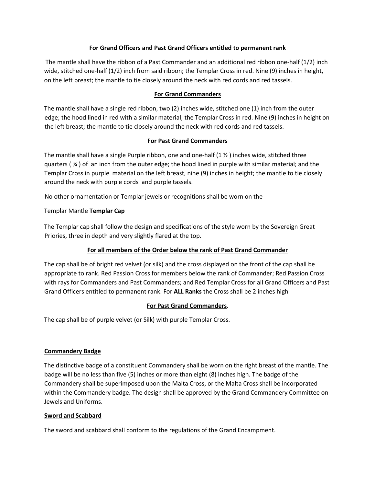# **For Grand Officers and Past Grand Officers entitled to permanent rank**

The mantle shall have the ribbon of a Past Commander and an additional red ribbon one-half (1/2) inch wide, stitched one-half (1/2) inch from said ribbon; the Templar Cross in red. Nine (9) inches in height, on the left breast; the mantle to tie closely around the neck with red cords and red tassels.

# **For Grand Commanders**

The mantle shall have a single red ribbon, two (2) inches wide, stitched one (1) inch from the outer edge; the hood lined in red with a similar material; the Templar Cross in red. Nine (9) inches in height on the left breast; the mantle to tie closely around the neck with red cords and red tassels.

# **For Past Grand Commanders**

The mantle shall have a single Purple ribbon, one and one-half  $(1 \times)$  inches wide, stitched three quarters ( $\frac{3}{4}$ ) of an inch from the outer edge; the hood lined in purple with similar material; and the Templar Cross in purple material on the left breast, nine (9) inches in height; the mantle to tie closely around the neck with purple cords and purple tassels.

No other ornamentation or Templar jewels or recognitions shall be worn on the

# Templar Mantle **Templar Cap**

The Templar cap shall follow the design and specifications of the style worn by the Sovereign Great Priories, three in depth and very slightly flared at the top.

# **For all members of the Order below the rank of Past Grand Commander**

The cap shall be of bright red velvet (or silk) and the cross displayed on the front of the cap shall be appropriate to rank. Red Passion Cross for members below the rank of Commander; Red Passion Cross with rays for Commanders and Past Commanders; and Red Templar Cross for all Grand Officers and Past Grand Officers entitled to permanent rank. For **ALL Ranks** the Cross shall be 2 inches high

#### **For Past Grand Commanders**.

The cap shall be of purple velvet (or Silk) with purple Templar Cross.

#### **Commandery Badge**

The distinctive badge of a constituent Commandery shall be worn on the right breast of the mantle. The badge will be no less than five (5) inches or more than eight (8) inches high. The badge of the Commandery shall be superimposed upon the Malta Cross, or the Malta Cross shall be incorporated within the Commandery badge. The design shall be approved by the Grand Commandery Committee on Jewels and Uniforms.

#### **Sword and Scabbard**

The sword and scabbard shall conform to the regulations of the Grand Encampment.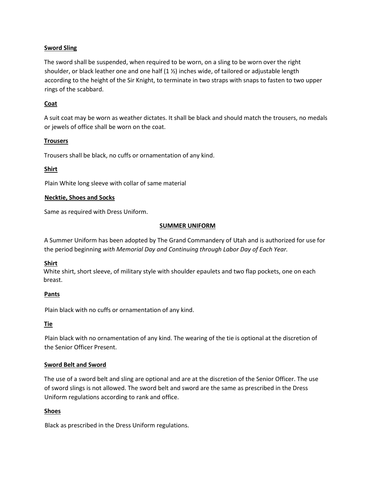# **Sword Sling**

The sword shall be suspended, when required to be worn, on a sling to be worn over the right shoulder, or black leather one and one half  $(1 \frac{1}{2})$  inches wide, of tailored or adjustable length according to the height of the Sir Knight, to terminate in two straps with snaps to fasten to two upper rings of the scabbard.

# **Coat**

A suit coat may be worn as weather dictates. It shall be black and should match the trousers, no medals or jewels of office shall be worn on the coat.

# **Trousers**

Trousers shall be black, no cuffs or ornamentation of any kind.

# **Shirt**

Plain White long sleeve with collar of same material

#### **Necktie, Shoes and Socks**

Same as required with Dress Uniform.

#### **SUMMER UNIFORM**

A Summer Uniform has been adopted by The Grand Commandery of Utah and is authorized for use for the period beginning *with Memorial Day and Continuing through Labor Day of Each Year.* 

#### **Shirt**

White shirt, short sleeve, of military style with shoulder epaulets and two flap pockets, one on each breast.

#### **Pants**

Plain black with no cuffs or ornamentation of any kind.

#### **Tie**

Plain black with no ornamentation of any kind. The wearing of the tie is optional at the discretion of the Senior Officer Present.

#### **Sword Belt and Sword**

The use of a sword belt and sling are optional and are at the discretion of the Senior Officer. The use of sword slings is not allowed. The sword belt and sword are the same as prescribed in the Dress Uniform regulations according to rank and office.

#### **Shoes**

Black as prescribed in the Dress Uniform regulations.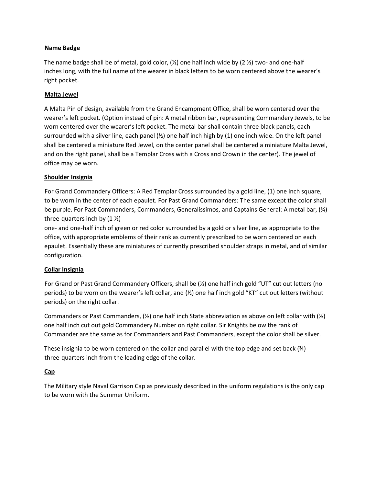### **Name Badge**

The name badge shall be of metal, gold color,  $(\frac{1}{2})$  one half inch wide by (2  $\frac{1}{2}$ ) two- and one-half inches long, with the full name of the wearer in black letters to be worn centered above the wearer's right pocket.

# **Malta Jewel**

A Malta Pin of design, available from the Grand Encampment Office, shall be worn centered over the wearer's left pocket. (Option instead of pin: A metal ribbon bar, representing Commandery Jewels, to be worn centered over the wearer's left pocket. The metal bar shall contain three black panels, each surrounded with a silver line, each panel (½) one half inch high by (1) one inch wide. On the left panel shall be centered a miniature Red Jewel, on the center panel shall be centered a miniature Malta Jewel, and on the right panel, shall be a Templar Cross with a Cross and Crown in the center). The jewel of office may be worn.

# **Shoulder Insignia**

For Grand Commandery Officers: A Red Templar Cross surrounded by a gold line, (1) one inch square, to be worn in the center of each epaulet. For Past Grand Commanders: The same except the color shall be purple. For Past Commanders, Commanders, Generalissimos, and Captains General: A metal bar, (¾) three-quarters inch by  $(1 \frac{1}{2})$ 

one- and one-half inch of green or red color surrounded by a gold or silver line, as appropriate to the office, with appropriate emblems of their rank as currently prescribed to be worn centered on each epaulet. Essentially these are miniatures of currently prescribed shoulder straps in metal, and of similar configuration.

# **Collar Insignia**

For Grand or Past Grand Commandery Officers, shall be (½) one half inch gold "UT" cut out letters (no periods) to be worn on the wearer's left collar, and (½) one half inch gold "KT" cut out letters (without periods) on the right collar.

Commanders or Past Commanders,  $(½)$  one half inch State abbreviation as above on left collar with  $(½)$ one half inch cut out gold Commandery Number on right collar. Sir Knights below the rank of Commander are the same as for Commanders and Past Commanders, except the color shall be silver.

These insignia to be worn centered on the collar and parallel with the top edge and set back  $(%)$ three-quarters inch from the leading edge of the collar.

#### **Cap**

The Military style Naval Garrison Cap as previously described in the uniform regulations is the only cap to be worn with the Summer Uniform.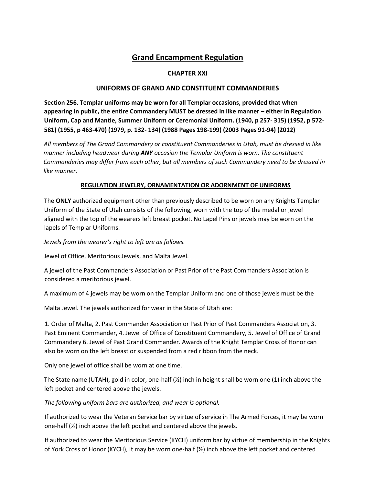# **Grand Encampment Regulation**

# **CHAPTER XXI**

# **UNIFORMS OF GRAND AND CONSTITUENT COMMANDERIES**

**Section 256. Templar uniforms may be worn for all Templar occasions, provided that when appearing in public, the entire Commandery MUST be dressed in like manner – either in Regulation Uniform, Cap and Mantle, Summer Uniform or Ceremonial Uniform. (1940, p 257- 315) (1952, p 572- 581) (1955, p 463-470) (1979, p. 132- 134) (1988 Pages 198-199) (2003 Pages 91-94) (2012)** 

*All members of The Grand Commandery or constituent Commanderies in Utah, must be dressed in like manner including headwear during ANY occasion the Templar Uniform is worn. The constituent Commanderies may differ from each other, but all members of such Commandery need to be dressed in like manner.*

#### **REGULATION JEWELRY, ORNAMENTATION OR ADORNMENT OF UNIFORMS**

The **ONLY** authorized equipment other than previously described to be worn on any Knights Templar Uniform of the State of Utah consists of the following, worn with the top of the medal or jewel aligned with the top of the wearers left breast pocket. No Lapel Pins or jewels may be worn on the lapels of Templar Uniforms.

*Jewels from the wearer's right to left are as follows.*

Jewel of Office, Meritorious Jewels, and Malta Jewel.

A jewel of the Past Commanders Association or Past Prior of the Past Commanders Association is considered a meritorious jewel.

A maximum of 4 jewels may be worn on the Templar Uniform and one of those jewels must be the

Malta Jewel. The jewels authorized for wear in the State of Utah are:

1. Order of Malta, 2. Past Commander Association or Past Prior of Past Commanders Association, 3. Past Eminent Commander, 4. Jewel of Office of Constituent Commandery, 5. Jewel of Office of Grand Commandery 6. Jewel of Past Grand Commander. Awards of the Knight Templar Cross of Honor can also be worn on the left breast or suspended from a red ribbon from the neck.

Only one jewel of office shall be worn at one time.

The State name (UTAH), gold in color, one-half (½) inch in height shall be worn one (1) inch above the left pocket and centered above the jewels.

*The following uniform bars are authorized, and wear is optional.*

If authorized to wear the Veteran Service bar by virtue of service in The Armed Forces, it may be worn one-half (½) inch above the left pocket and centered above the jewels.

If authorized to wear the Meritorious Service (KYCH) uniform bar by virtue of membership in the Knights of York Cross of Honor (KYCH), it may be worn one-half (½) inch above the left pocket and centered